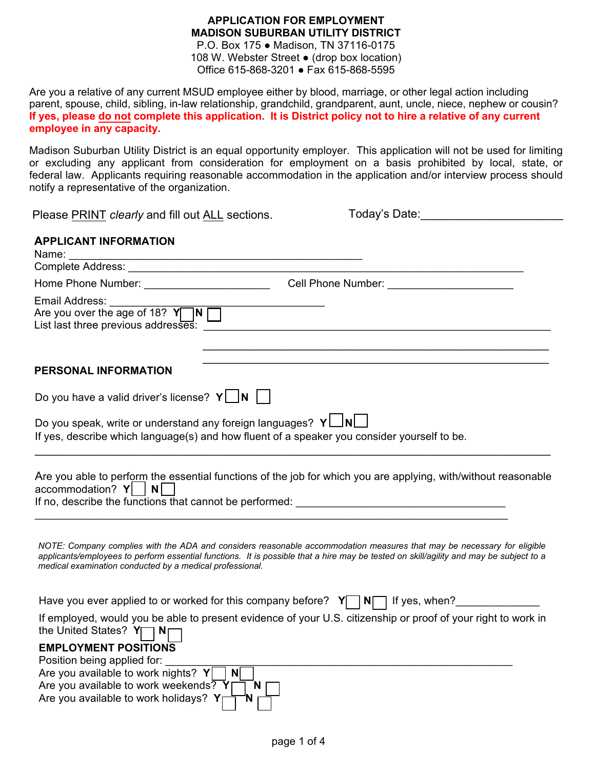## **APPLICATION FOR EMPLOYMENT MADISON SUBURBAN UTILITY DISTRICT**

P.O. Box 175 ● Madison, TN 37116-0175 108 W. Webster Street ● (drop box location) Office 615-868-3201 ● Fax 615-868-5595

Are you a relative of any current MSUD employee either by blood, marriage, or other legal action including parent, spouse, child, sibling, in-law relationship, grandchild, grandparent, aunt, uncle, niece, nephew or cousin? **If yes, please do not complete this application. It is District policy not to hire a relative of any current employee in any capacity.** 

Madison Suburban Utility District is an equal opportunity employer. This application will not be used for limiting or excluding any applicant from consideration for employment on a basis prohibited by local, state, or federal law. Applicants requiring reasonable accommodation in the application and/or interview process should notify a representative of the organization.

Please PRINT *clearly* and fill out ALL sections. Today's Date: <u>The Contract of Turner and Turner and Turner and Turner and Turner and Turner and Turner and Turner and Turner and Turner and Turner and Turner and Turner an</u>

Are you available to work holidays? **Y N**

# **APPLICANT INFORMATION**

| Name:                                                                                           |                                                                                                                                                                                                                                                                  |
|-------------------------------------------------------------------------------------------------|------------------------------------------------------------------------------------------------------------------------------------------------------------------------------------------------------------------------------------------------------------------|
|                                                                                                 |                                                                                                                                                                                                                                                                  |
|                                                                                                 |                                                                                                                                                                                                                                                                  |
| Email Address:<br>Are you over the age of 18? $Y \cap N$<br>List last three previous addresses: |                                                                                                                                                                                                                                                                  |
| PERSONAL INFORMATION                                                                            | <u> 1990 - Johann John Harry Harry Harry Harry Harry Harry Harry Harry Harry Harry Harry Harry Harry Harry Harry</u>                                                                                                                                             |
| Do you have a valid driver's license? $Y \cup N$                                                |                                                                                                                                                                                                                                                                  |
| Do you speak, write or understand any foreign languages? $Y \Box N$                             |                                                                                                                                                                                                                                                                  |
|                                                                                                 | If yes, describe which language(s) and how fluent of a speaker you consider yourself to be.                                                                                                                                                                      |
| $\alpha$ accommodation? $Y$  <br>N                                                              | Are you able to perform the essential functions of the job for which you are applying, with/without reasonable                                                                                                                                                   |
| medical examination conducted by a medical professional.                                        | NOTE: Company complies with the ADA and considers reasonable accommodation measures that may be necessary for eligible<br>applicants/employees to perform essential functions. It is possible that a hire may be tested on skill/agility and may be subject to a |
|                                                                                                 | Have you ever applied to or worked for this company before? $Y \cap N \cap$ If yes, when?                                                                                                                                                                        |
| the United States? Y□ N□                                                                        | If employed, would you be able to present evidence of your U.S. citizenship or proof of your right to work in                                                                                                                                                    |
| <b>EMPLOYMENT POSITIONS</b>                                                                     |                                                                                                                                                                                                                                                                  |
| Position being applied for:                                                                     |                                                                                                                                                                                                                                                                  |
| Are you available to work nights? $Y \cap N$                                                    |                                                                                                                                                                                                                                                                  |
| Are you available to work weekends? $Y$                                                         | $N$                                                                                                                                                                                                                                                              |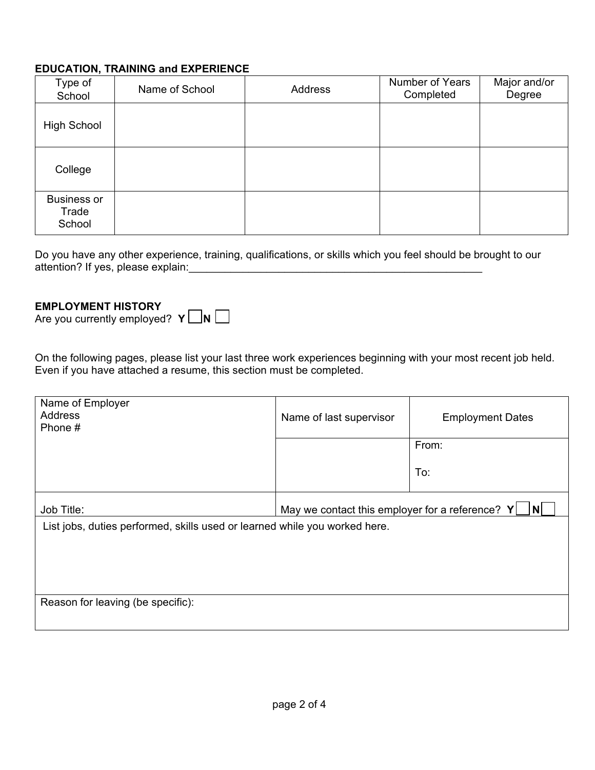## **EDUCATION, TRAINING and EXPERIENCE**

| Type of<br>School                     | Name of School | Address | <b>Number of Years</b><br>Completed | Major and/or<br>Degree |
|---------------------------------------|----------------|---------|-------------------------------------|------------------------|
| <b>High School</b>                    |                |         |                                     |                        |
| College                               |                |         |                                     |                        |
| <b>Business or</b><br>Trade<br>School |                |         |                                     |                        |

Do you have any other experience, training, qualifications, or skills which you feel should be brought to our attention? If yes, please explain: **with a structure of the structure of the structure of the structure of the structure of the structure of the structure of the structure of the structure of the structure of the structure** 

#### **EMPLOYMENT HISTORY**

Are you currently employed?  $Y \cap N$ 

On the following pages, please list your last three work experiences beginning with your most recent job held. Even if you have attached a resume, this section must be completed.

| Name of Employer<br><b>Address</b><br>Phone $#$                            | Name of last supervisor                                 | <b>Employment Dates</b> |
|----------------------------------------------------------------------------|---------------------------------------------------------|-------------------------|
|                                                                            |                                                         | From:                   |
|                                                                            |                                                         | To:                     |
| Job Title:                                                                 | May we contact this employer for a reference? $Y$<br> N |                         |
| List jobs, duties performed, skills used or learned while you worked here. |                                                         |                         |
|                                                                            |                                                         |                         |
|                                                                            |                                                         |                         |
|                                                                            |                                                         |                         |
| Reason for leaving (be specific):                                          |                                                         |                         |
|                                                                            |                                                         |                         |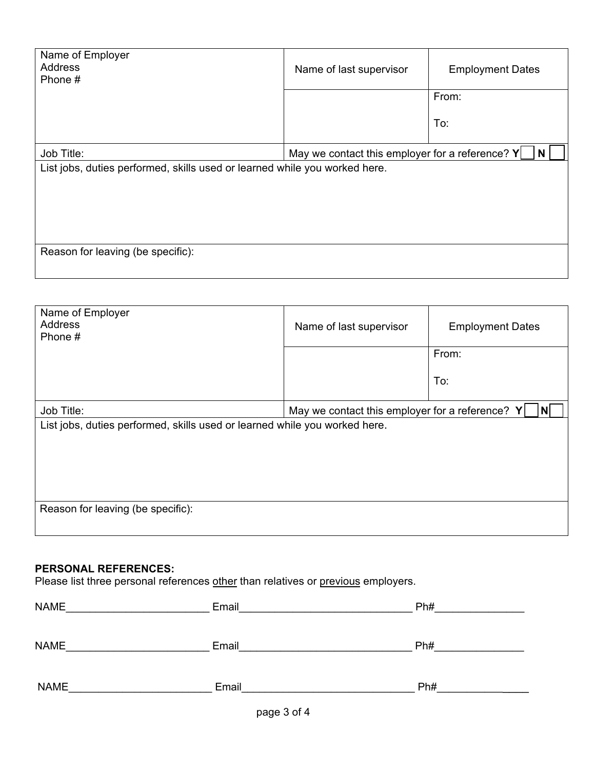| Name of Employer<br><b>Address</b><br>Phone #                              | Name of last supervisor                                       | <b>Employment Dates</b> |
|----------------------------------------------------------------------------|---------------------------------------------------------------|-------------------------|
|                                                                            |                                                               | From:                   |
|                                                                            |                                                               | To:                     |
| Job Title:                                                                 | May we contact this employer for a reference? $Y$<br><b>N</b> |                         |
| List jobs, duties performed, skills used or learned while you worked here. |                                                               |                         |
| Reason for leaving (be specific):                                          |                                                               |                         |

| Name of Employer<br><b>Address</b><br>Phone #                              | Name of last supervisor                                              | <b>Employment Dates</b> |
|----------------------------------------------------------------------------|----------------------------------------------------------------------|-------------------------|
|                                                                            |                                                                      | From:                   |
|                                                                            |                                                                      | To:                     |
| Job Title:                                                                 | $\vert N \vert$<br>May we contact this employer for a reference? $Y$ |                         |
| List jobs, duties performed, skills used or learned while you worked here. |                                                                      |                         |
| Reason for leaving (be specific):                                          |                                                                      |                         |

# **PERSONAL REFERENCES:**

Please list three personal references other than relatives or previous employers.

| <b>NAME</b> | Email | Ph# |
|-------------|-------|-----|
|             |       |     |
| <b>NAME</b> | Email | Ph# |
|             |       |     |
| <b>NAME</b> | Email | Ph# |